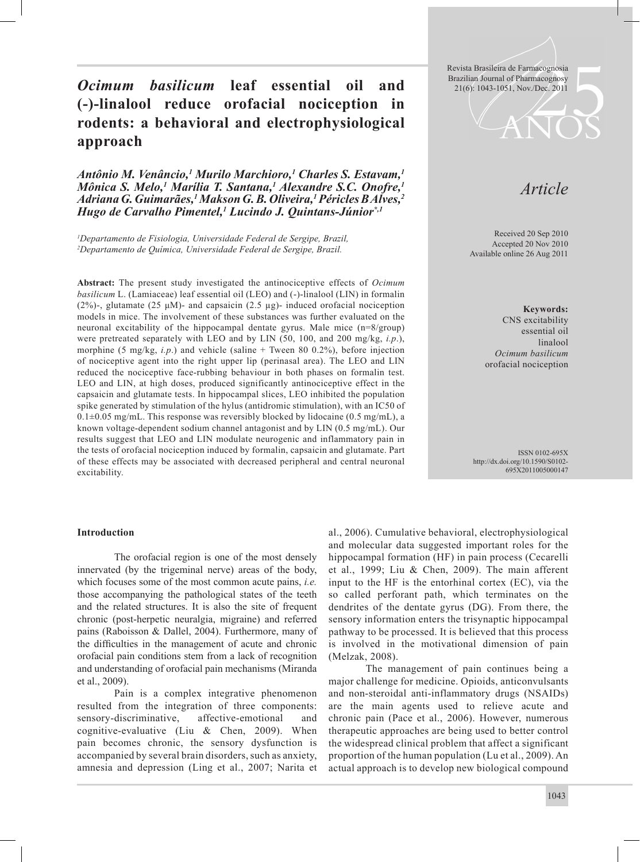**Ocimum basilicum leaf essential oil and**  $\frac{\text{Biazinai of Hamiltonianity conditions}}{21(6): 1043-1051, \text{Nov.}/\text{Dec. } 2011}$ **(-)-linalool reduce orofacial nociception in rodents: a behavioral and electrophysiological approach**

*Antônio M. Venâncio,1 Murilo Marchioro,1 Charles S. Estavam,1 Mônica S. Melo,1 Marília T. Santana,1 Alexandre S.C. Onofre,1 Adriana G. Guimarães,1 Makson G. B. Oliveira,1 Péricles B Alves,2 Hugo de Carvalho Pimentel,1 Lucindo J. Quintans-Júnior\*,1*

*1 Departamento de Fisiologia, Universidade Federal de Sergipe, Brazil, 2 Departamento de Química, Universidade Federal de Sergipe, Brazil.*

**Abstract:** The present study investigated the antinociceptive effects of *Ocimum basilicum* L. (Lamiaceae) leaf essential oil (LEO) and (-)-linalool (LIN) in formalin (2%)-, glutamate (25  $\mu$ M)- and capsaicin (2.5  $\mu$ g)- induced orofacial nociception models in mice. The involvement of these substances was further evaluated on the neuronal excitability of the hippocampal dentate gyrus. Male mice (n=8/group) were pretreated separately with LEO and by LIN (50, 100, and 200 mg/kg, *i.p*.), morphine (5 mg/kg, *i.p*.) and vehicle (saline + Tween 80 0.2%), before injection of nociceptive agent into the right upper lip (perinasal area). The LEO and LIN reduced the nociceptive face-rubbing behaviour in both phases on formalin test. LEO and LIN, at high doses, produced significantly antinociceptive effect in the capsaicin and glutamate tests. In hippocampal slices, LEO inhibited the population spike generated by stimulation of the hylus (antidromic stimulation), with an IC50 of  $0.1\pm0.05$  mg/mL. This response was reversibly blocked by lidocaine (0.5 mg/mL), a known voltage-dependent sodium channel antagonist and by LIN (0.5 mg/mL). Our results suggest that LEO and LIN modulate neurogenic and inflammatory pain in the tests of orofacial nociception induced by formalin, capsaicin and glutamate. Part of these effects may be associated with decreased peripheral and central neuronal excitability.

Revista Brasileira de Farmacognosia

# *Article*

Received 20 Sep 2010 Accepted 20 Nov 2010 Available online 26 Aug 2011

> **Keywords:** CNS excitability essential oil linalool *Ocimum basilicum* orofacial nociception

ISSN 0102-695X http://dx.doi.org/10.1590/S0102- 695X2011005000147

#### **Introduction**

 The orofacial region is one of the most densely innervated (by the trigeminal nerve) areas of the body, which focuses some of the most common acute pains, *i.e.*  those accompanying the pathological states of the teeth and the related structures. It is also the site of frequent chronic (post-herpetic neuralgia, migraine) and referred pains (Raboisson & Dallel, 2004). Furthermore, many of the difficulties in the management of acute and chronic orofacial pain conditions stem from a lack of recognition and understanding of orofacial pain mechanisms (Miranda et al., 2009).

 Pain is a complex integrative phenomenon resulted from the integration of three components: sensory-discriminative, affective-emotional and cognitive-evaluative (Liu & Chen, 2009). When pain becomes chronic, the sensory dysfunction is accompanied by several brain disorders, such as anxiety, amnesia and depression (Ling et al., 2007; Narita et al., 2006). Cumulative behavioral, electrophysiological and molecular data suggested important roles for the hippocampal formation (HF) in pain process (Cecarelli et al., 1999; Liu & Chen, 2009). The main afferent input to the HF is the entorhinal cortex (EC), via the so called perforant path, which terminates on the dendrites of the dentate gyrus (DG). From there, the sensory information enters the trisynaptic hippocampal pathway to be processed. It is believed that this process is involved in the motivational dimension of pain (Melzak, 2008).

 The management of pain continues being a major challenge for medicine. Opioids, anticonvulsants and non-steroidal anti-inflammatory drugs (NSAIDs) are the main agents used to relieve acute and chronic pain (Pace et al., 2006). However, numerous therapeutic approaches are being used to better control the widespread clinical problem that affect a significant proportion of the human population (Lu et al., 2009). An actual approach is to develop new biological compound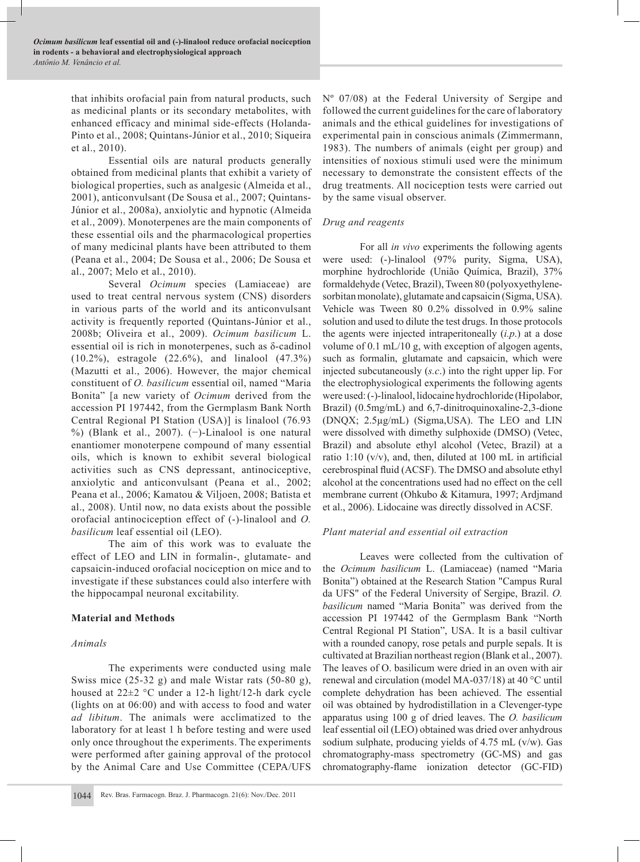that inhibits orofacial pain from natural products, such as medicinal plants or its secondary metabolites, with enhanced efficacy and minimal side-effects (Holanda-Pinto et al., 2008; Quintans-Júnior et al., 2010; Siqueira et al., 2010).

Essential oils are natural products generally obtained from medicinal plants that exhibit a variety of biological properties, such as analgesic (Almeida et al., 2001), anticonvulsant (De Sousa et al., 2007; Quintans-Júnior et al., 2008a), anxiolytic and hypnotic (Almeida et al., 2009). Monoterpenes are the main components of these essential oils and the pharmacological properties of many medicinal plants have been attributed to them (Peana et al., 2004; De Sousa et al., 2006; De Sousa et al., 2007; Melo et al., 2010).

Several *Ocimum* species (Lamiaceae) are used to treat central nervous system (CNS) disorders in various parts of the world and its anticonvulsant activity is frequently reported (Quintans-Júnior et al., 2008b; Oliveira et al., 2009). *Ocimum basilicum* L. essential oil is rich in monoterpenes, such as δ-cadinol (10.2%), estragole (22.6%), and linalool (47.3%) (Mazutti et al., 2006). However, the major chemical constituent of *O. basilicum* essential oil, named "Maria Bonita" [a new variety of *Ocimum* derived from the accession PI 197442, from the Germplasm Bank North Central Regional PI Station (USA)] is linalool (76.93 %) (Blank et al., 2007). (−)-Linalool is one natural enantiomer monoterpene compound of many essential oils, which is known to exhibit several biological activities such as CNS depressant, antinociceptive, anxiolytic and anticonvulsant (Peana et al., 2002; Peana et al., 2006; Kamatou & Viljoen, 2008; Batista et al., 2008). Until now, no data exists about the possible orofacial antinociception effect of (-)-linalool and *O. basilicum* leaf essential oil (LEO).

The aim of this work was to evaluate the effect of LEO and LIN in formalin-, glutamate- and capsaicin-induced orofacial nociception on mice and to investigate if these substances could also interfere with the hippocampal neuronal excitability.

# **Material and Methods**

#### *Animals*

The experiments were conducted using male Swiss mice (25-32 g) and male Wistar rats (50-80 g), housed at 22±2 °C under a 12-h light/12-h dark cycle (lights on at 06:00) and with access to food and water *ad libitum*. The animals were acclimatized to the laboratory for at least 1 h before testing and were used only once throughout the experiments. The experiments were performed after gaining approval of the protocol by the Animal Care and Use Committee (CEPA/UFS

Nº 07/08) at the Federal University of Sergipe and followed the current guidelines for the care of laboratory animals and the ethical guidelines for investigations of experimental pain in conscious animals (Zimmermann, 1983). The numbers of animals (eight per group) and intensities of noxious stimuli used were the minimum necessary to demonstrate the consistent effects of the drug treatments. All nociception tests were carried out by the same visual observer.

#### *Drug and reagents*

For all *in vivo* experiments the following agents were used: (-)-linalool (97% purity, Sigma, USA), morphine hydrochloride (União Química, Brazil), 37% formaldehyde (Vetec, Brazil), Tween 80 (polyoxyethylenesorbitan monolate), glutamate and capsaicin (Sigma, USA). Vehicle was Tween 80 0.2% dissolved in 0.9% saline solution and used to dilute the test drugs. In those protocols the agents were injected intraperitoneally (*i.p*.) at a dose volume of 0.1 mL/10 g, with exception of algogen agents, such as formalin, glutamate and capsaicin, which were injected subcutaneously (*s.c*.) into the right upper lip. For the electrophysiological experiments the following agents were used: (-)-linalool, lidocaine hydrochloride (Hipolabor, Brazil) (0.5mg/mL) and 6,7-dinitroquinoxaline-2,3-dione (DNQX; 2.5µg/mL) (Sigma,USA). The LEO and LIN were dissolved with dimethy sulphoxide (DMSO) (Vetec, Brazil) and absolute ethyl alcohol (Vetec, Brazil) at a ratio 1:10 ( $v/v$ ), and, then, diluted at 100 mL in artificial cerebrospinal fluid (ACSF). The DMSO and absolute ethyl alcohol at the concentrations used had no effect on the cell membrane current (Ohkubo & Kitamura, 1997; Ardjmand et al., 2006). Lidocaine was directly dissolved in ACSF.

# *Plant material and essential oil extraction*

Leaves were collected from the cultivation of the *Ocimum basilicum* L. (Lamiaceae) (named "Maria Bonita") obtained at the Research Station "Campus Rural da UFS" of the Federal University of Sergipe, Brazil. *O. basilicum* named "Maria Bonita" was derived from the accession PI 197442 of the Germplasm Bank "North Central Regional PI Station", USA. It is a basil cultivar with a rounded canopy, rose petals and purple sepals. It is cultivated at Brazilian northeast region (Blank et al., 2007). The leaves of O. basilicum were dried in an oven with air renewal and circulation (model MA-037/18) at 40 °C until complete dehydration has been achieved. The essential oil was obtained by hydrodistillation in a Clevenger-type apparatus using 100 g of dried leaves. The *O. basilicum* leaf essential oil (LEO) obtained was dried over anhydrous sodium sulphate, producing yields of 4.75 mL (v/w). Gas chromatography-mass spectrometry (GC-MS) and gas chromatography-flame ionization detector (GC-FID)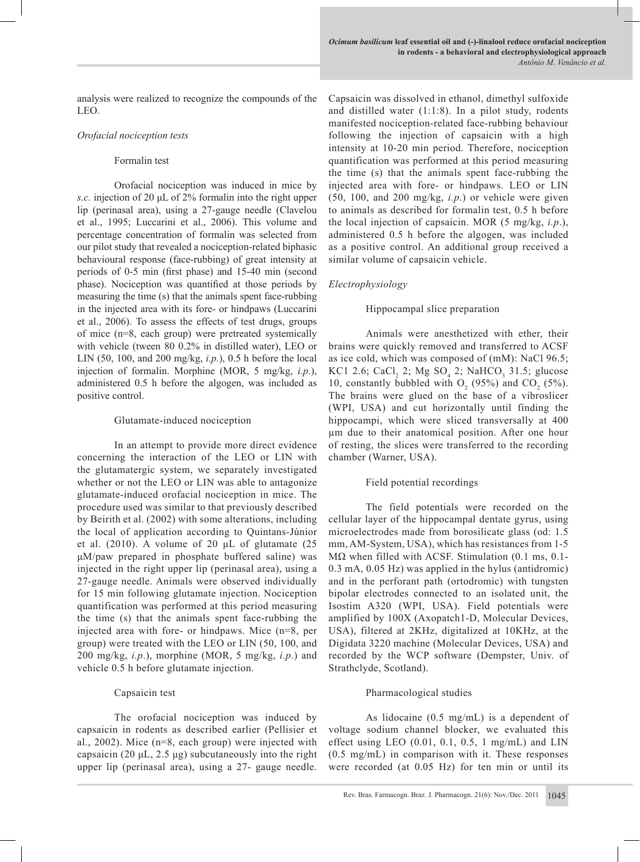analysis were realized to recognize the compounds of the LEO.

## *Orofacial nociception tests*

#### Formalin test

Orofacial nociception was induced in mice by *s.c.* injection of 20 μL of 2% formalin into the right upper lip (perinasal area), using a 27-gauge needle (Clavelou et al., 1995; Luccarini et al., 2006). This volume and percentage concentration of formalin was selected from our pilot study that revealed a nociception-related biphasic behavioural response (face-rubbing) of great intensity at periods of 0-5 min (first phase) and 15-40 min (second phase). Nociception was quantified at those periods by measuring the time (s) that the animals spent face-rubbing in the injected area with its fore- or hindpaws (Luccarini et al., 2006). To assess the effects of test drugs, groups of mice (n=8, each group) were pretreated systemically with vehicle (tween 80 0.2% in distilled water), LEO or LIN (50, 100, and 200 mg/kg, *i.p.*), 0.5 h before the local injection of formalin. Morphine (MOR, 5 mg/kg, *i.p*.), administered 0.5 h before the algogen, was included as positive control.

## Glutamate-induced nociception

In an attempt to provide more direct evidence concerning the interaction of the LEO or LIN with the glutamatergic system, we separately investigated whether or not the LEO or LIN was able to antagonize glutamate-induced orofacial nociception in mice. The procedure used was similar to that previously described by Beirith et al. (2002) with some alterations, including the local of application according to Quintans-Júnior et al. (2010). A volume of 20 μL of glutamate (25 μM/paw prepared in phosphate buffered saline) was injected in the right upper lip (perinasal area), using a 27-gauge needle. Animals were observed individually for 15 min following glutamate injection. Nociception quantification was performed at this period measuring the time (s) that the animals spent face-rubbing the injected area with fore- or hindpaws. Mice (n=8, per group) were treated with the LEO or LIN (50, 100, and 200 mg/kg, *i.p*.), morphine (MOR, 5 mg/kg, *i.p*.) and vehicle 0.5 h before glutamate injection.

# Capsaicin test

The orofacial nociception was induced by capsaicin in rodents as described earlier (Pellisier et al., 2002). Mice (n=8, each group) were injected with capsaicin (20  $\mu$ L, 2.5  $\mu$ g) subcutaneously into the right upper lip (perinasal area), using a 27- gauge needle. Capsaicin was dissolved in ethanol, dimethyl sulfoxide and distilled water (1:1:8). In a pilot study, rodents manifested nociception-related face-rubbing behaviour following the injection of capsaicin with a high intensity at 10-20 min period. Therefore, nociception quantification was performed at this period measuring the time (s) that the animals spent face-rubbing the injected area with fore- or hindpaws. LEO or LIN (50, 100, and 200 mg/kg, *i.p*.) or vehicle were given to animals as described for formalin test, 0.5 h before the local injection of capsaicin. MOR (5 mg/kg, *i.p*.), administered 0.5 h before the algogen, was included as a positive control. An additional group received a similar volume of capsaicin vehicle.

# *Electrophysiology*

## Hippocampal slice preparation

Animals were anesthetized with ether, their brains were quickly removed and transferred to ACSF as ice cold, which was composed of (mM): NaCl 96.5; KC1 2.6; CaCl<sub>2</sub> 2; Mg  $SO_4$  2; NaHCO<sub>3</sub> 31.5; glucose 10, constantly bubbled with  $O_2$  (95%) and  $CO_2$  (5%). The brains were glued on the base of a vibroslicer (WPI, USA) and cut horizontally until finding the hippocampi, which were sliced transversally at 400 µm due to their anatomical position. After one hour of resting, the slices were transferred to the recording chamber (Warner, USA).

# Field potential recordings

The field potentials were recorded on the cellular layer of the hippocampal dentate gyrus, using microelectrodes made from borosilicate glass (od: 1.5 mm, AM-System, USA), which has resistances from 1-5 MΩ when filled with ACSF. Stimulation (0.1 ms, 0.1- 0.3 mA, 0.05 Hz) was applied in the hylus (antidromic) and in the perforant path (ortodromic) with tungsten bipolar electrodes connected to an isolated unit, the Isostim A320 (WPI, USA). Field potentials were amplified by 100X (Axopatch1-D, Molecular Devices, USA), filtered at 2KHz, digitalized at 10KHz, at the Digidata 3220 machine (Molecular Devices, USA) and recorded by the WCP software (Dempster, Univ. of Strathclyde, Scotland).

# Pharmacological studies

As lidocaine (0.5 mg/mL) is a dependent of voltage sodium channel blocker, we evaluated this effect using LEO  $(0.01, 0.1, 0.5, 1 \text{ mg/mL})$  and LIN (0.5 mg/mL) in comparison with it. These responses were recorded (at 0.05 Hz) for ten min or until its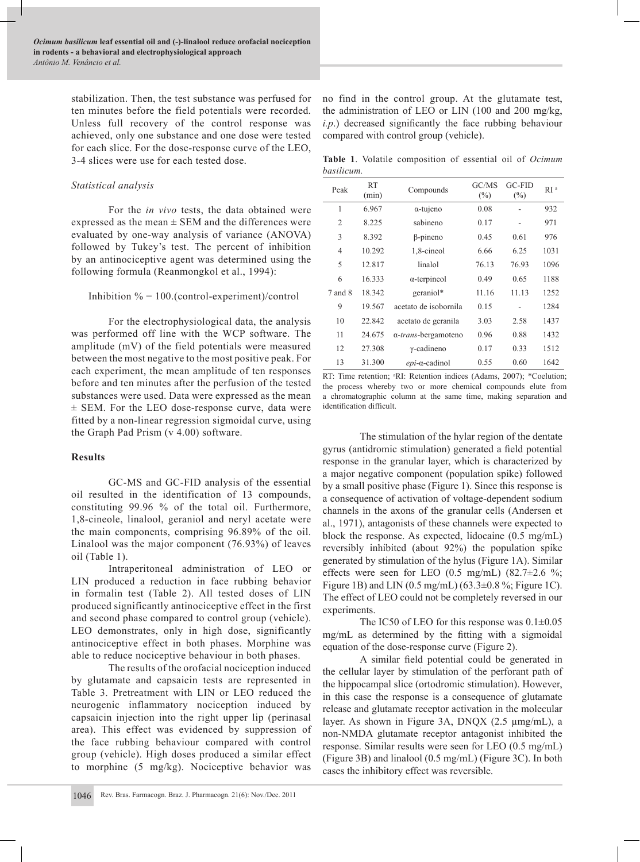stabilization. Then, the test substance was perfused for ten minutes before the field potentials were recorded. Unless full recovery of the control response was achieved, only one substance and one dose were tested for each slice. For the dose-response curve of the LEO, 3-4 slices were use for each tested dose.

## *Statistical analysis*

For the *in vivo* tests, the data obtained were expressed as the mean  $\pm$  SEM and the differences were evaluated by one-way analysis of variance (ANOVA) followed by Tukey's test. The percent of inhibition by an antinociceptive agent was determined using the following formula (Reanmongkol et al., 1994):

#### Inhibition  $\% = 100.$  (control-experiment)/control

For the electrophysiological data, the analysis was performed off line with the WCP software. The amplitude (mV) of the field potentials were measured between the most negative to the most positive peak. For each experiment, the mean amplitude of ten responses before and ten minutes after the perfusion of the tested substances were used. Data were expressed as the mean ± SEM. For the LEO dose-response curve, data were fitted by a non-linear regression sigmoidal curve, using the Graph Pad Prism (v 4.00) software.

# **Results**

GC-MS and GC-FID analysis of the essential oil resulted in the identification of 13 compounds, constituting 99.96 % of the total oil. Furthermore, 1,8-cineole, linalool, geraniol and neryl acetate were the main components, comprising 96.89% of the oil. Linalool was the major component (76.93%) of leaves oil (Table 1).

Intraperitoneal administration of LEO or LIN produced a reduction in face rubbing behavior in formalin test (Table 2). All tested doses of LIN produced significantly antinociceptive effect in the first and second phase compared to control group (vehicle). LEO demonstrates, only in high dose, significantly antinociceptive effect in both phases. Morphine was able to reduce nociceptive behaviour in both phases.

The results of the orofacial nociception induced by glutamate and capsaicin tests are represented in Table 3. Pretreatment with LIN or LEO reduced the neurogenic inflammatory nociception induced by capsaicin injection into the right upper lip (perinasal area). This effect was evidenced by suppression of the face rubbing behaviour compared with control group (vehicle). High doses produced a similar effect to morphine (5 mg/kg). Nociceptive behavior was

no find in the control group. At the glutamate test, the administration of LEO or LIN (100 and 200 mg/kg, *i.p*.) decreased significantly the face rubbing behaviour compared with control group (vehicle).

**Table 1**. Volatile composition of essential oil of *Ocimum basilicum.*

| Peak    | <b>RT</b><br>(min) | Compounds                    | GC/MS<br>$(\%)$ | <b>GC-FID</b><br>$(\%)$ | RI <sup>a</sup> |
|---------|--------------------|------------------------------|-----------------|-------------------------|-----------------|
| 1       | 6.967              | $\alpha$ -tujeno             | 0.08            |                         | 932             |
| 2       | 8.225              | sabineno                     | 0.17            |                         | 971             |
| 3       | 8.392              | $\beta$ -pineno              | 0.45            | 0.61                    | 976             |
| 4       | 10.292             | 1,8-cineol                   | 6.66            | 6.25                    | 1031            |
| 5       | 12.817             | linalol                      | 76.13           | 76.93                   | 1096            |
| 6       | 16.333             | $\alpha$ -terpineol          | 0.49            | 0.65                    | 1188            |
| 7 and 8 | 18.342             | geraniol*                    | 11.16           | 11.13                   | 1252            |
| 9       | 19.567             | acetato de isobornila        | 0.15            |                         | 1284            |
| 10      | 22.842             | acetato de geranila          | 3.03            | 2.58                    | 1437            |
| 11      | 24.675             | α- <i>trans</i> -bergamoteno | 0.96            | 0.88                    | 1432            |
| 12      | 27.308             | $\gamma$ -cadineno           | 0.17            | 0.33                    | 1512            |
| 13      | 31.300             | $epi$ - $\alpha$ -cadinol    | 0.55            | 0.60                    | 1642            |

RT: Time retention; <sup>a</sup>RI: Retention indices (Adams, 2007); \*Coelution; the process whereby two or more chemical compounds elute from a chromatographic column at the same time, making separation and identification difficult.

The stimulation of the hylar region of the dentate gyrus (antidromic stimulation) generated a field potential response in the granular layer, which is characterized by a major negative component (population spike) followed by a small positive phase (Figure 1). Since this response is a consequence of activation of voltage-dependent sodium channels in the axons of the granular cells (Andersen et al., 1971), antagonists of these channels were expected to block the response. As expected, lidocaine (0.5 mg/mL) reversibly inhibited (about 92%) the population spike generated by stimulation of the hylus (Figure 1A). Similar effects were seen for LEO  $(0.5 \text{ mg/mL})$   $(82.7\pm2.6 \text{ %})$ ; Figure 1B) and LIN  $(0.5 \text{ mg/mL})$   $(63.3 \pm 0.8 \text{ %}; \text{Figure 1C}).$ The effect of LEO could not be completely reversed in our experiments.

The IC50 of LEO for this response was  $0.1 \pm 0.05$ mg/mL as determined by the fitting with a sigmoidal equation of the dose-response curve (Figure 2).

A similar field potential could be generated in the cellular layer by stimulation of the perforant path of the hippocampal slice (ortodromic stimulation). However, in this case the response is a consequence of glutamate release and glutamate receptor activation in the molecular layer. As shown in Figure 3A, DNQX (2.5 µmg/mL), a non-NMDA glutamate receptor antagonist inhibited the response. Similar results were seen for LEO (0.5 mg/mL) (Figure 3B) and linalool (0.5 mg/mL) (Figure 3C). In both cases the inhibitory effect was reversible.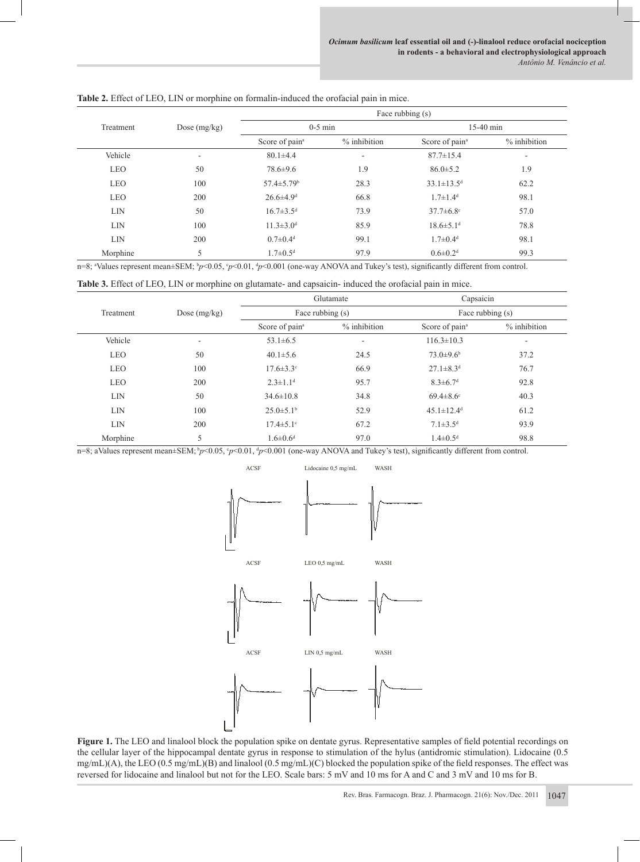|            |                | Face rubbing (s)             |                          |                              |                          |  |  |
|------------|----------------|------------------------------|--------------------------|------------------------------|--------------------------|--|--|
| Treatment  | Dose $(mg/kg)$ | $0-5$ min                    |                          | $15-40$ min                  |                          |  |  |
|            |                | Score of pain <sup>a</sup>   | % inhibition             | Score of pain <sup>a</sup>   | % inhibition             |  |  |
| Vehicle    | ٠              | $80.1 \pm 4.4$               | $\overline{\phantom{a}}$ | $87.7 \pm 15.4$              | $\overline{\phantom{a}}$ |  |  |
| <b>LEO</b> | 50             | $78.6 \pm 9.6$               | 1.9                      | $86.0 \pm 5.2$               | 1.9                      |  |  |
| <b>LEO</b> | 100            | $57.4 \pm 5.79$ <sup>b</sup> | 28.3                     | $33.1 \pm 13.5$ <sup>d</sup> | 62.2                     |  |  |
| <b>LEO</b> | 200            | $26.6 \pm 4.9$ <sup>d</sup>  | 66.8                     | $1.7 \pm 1.4$ <sup>d</sup>   | 98.1                     |  |  |
| <b>LIN</b> | 50             | $16.7 \pm 3.5$ <sup>d</sup>  | 73.9                     | $37.7 \pm 6.8$ °             | 57.0                     |  |  |
| <b>LIN</b> | 100            | $11.3 \pm 3.0$ <sup>d</sup>  | 85.9                     | $18.6 \pm 5.1$ <sup>d</sup>  | 78.8                     |  |  |
| <b>LIN</b> | 200            | $0.7 \pm 0.4$ <sup>d</sup>   | 99.1                     | $1.7 \pm 0.4$ <sup>d</sup>   | 98.1                     |  |  |
| Morphine   | 5              | $1.7 \pm 0.5$ <sup>d</sup>   | 97.9                     | $0.6 \pm 0.2$ <sup>d</sup>   | 99.3                     |  |  |

**Table 2.** Effect of LEO, LIN or morphine on formalin-induced the orofacial pain in mice.

n=8; <sup>a</sup>Values represent mean±SEM; <sup>b</sup>*p*<0.05, °*p*<0.01, <sup>d</sup>*p*<0.001 (one-way ANOVA and Tukey's test), significantly different from control.

| <b>Table 3.</b> Effect of LEO, LIN or morphine on glutamate- and capsaicin- induced the orofacial pain in mice. |  |  |  |  |  |
|-----------------------------------------------------------------------------------------------------------------|--|--|--|--|--|
|                                                                                                                 |  |  |  |  |  |

|            |                |                             | Glutamate    | Capsaicin<br>Face rubbing (s) |                              |  |
|------------|----------------|-----------------------------|--------------|-------------------------------|------------------------------|--|
| Treatment  | Dose $(mg/kg)$ | Face rubbing (s)            |              |                               |                              |  |
|            |                | Score of pain <sup>a</sup>  | % inhibition | Score of pain <sup>a</sup>    | $%$ inhibition               |  |
| Vehicle    | ۰              | $53.1 \pm 6.5$              | ۰.           | $116.3 \pm 10.3$              | $\qquad \qquad \blacksquare$ |  |
| <b>LEO</b> | 50             | $40.1 \pm 5.6$              | 24.5         | $73.0 \pm 9.6$ <sup>b</sup>   | 37.2                         |  |
| <b>LEO</b> | 100            | $17.6 \pm 3.3$ <sup>c</sup> | 66.9         | $27.1 \pm 8.3$ <sup>d</sup>   | 76.7                         |  |
| <b>LEO</b> | 200            | $2.3 \pm 1.1$ <sup>d</sup>  | 95.7         | $8.3 \pm 6.7$ <sup>d</sup>    | 92.8                         |  |
| <b>LIN</b> | 50             | $34.6 \pm 10.8$             | 34.8         | $69.4 \pm 8.6$ <sup>c</sup>   | 40.3                         |  |
| <b>LIN</b> | 100            | $25.0 \pm 5.1$ <sup>b</sup> | 52.9         | $45.1 \pm 12.4$ <sup>d</sup>  | 61.2                         |  |
| <b>LIN</b> | 200            | $17.4 \pm 5.1$ °            | 67.2         | $7.1 \pm 3.5$ <sup>d</sup>    | 93.9                         |  |
| Morphine   | 5              | $1.6 \pm 0.6$ <sup>d</sup>  | 97.0         | $1.4 \pm 0.5$ <sup>d</sup>    | 98.8                         |  |

n=8; aValues represent mean±SEM; *bp*<0.05, *cp*<0.01, *dp*<0.001 (one-way ANOVA and Tukey's test), significantly different from control.



**Figure 1.** The LEO and linalool block the population spike on dentate gyrus. Representative samples of field potential recordings on the cellular layer of the hippocampal dentate gyrus in response to stimulation of the hylus (antidromic stimulation). Lidocaine (0.5 mg/mL)(A), the LEO (0.5 mg/mL)(B) and linalool (0.5 mg/mL)(C) blocked the population spike of the field responses. The effect was reversed for lidocaine and linalool but not for the LEO. Scale bars: 5 mV and 10 ms for A and C and 3 mV and 10 ms for B.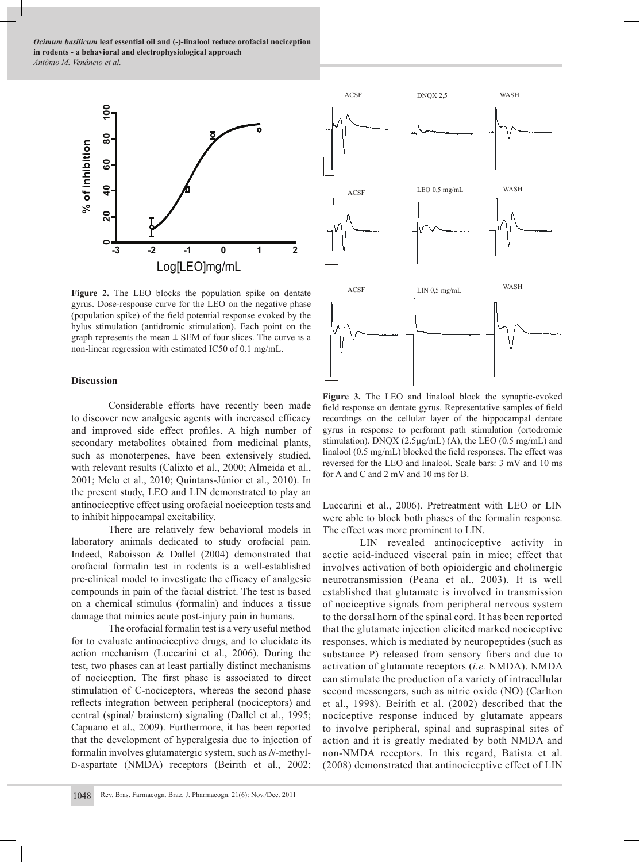*Ocimum basilicum* **leaf essential oil and (-)-linalool reduce orofacial nociception in rodents - a behavioral and electrophysiological approach** *Antônio M. Venâncio et al.*



Figure 2. The LEO blocks the population spike on dentate gyrus. Dose-response curve for the LEO on the negative phase (population spike) of the field potential response evoked by the hylus stimulation (antidromic stimulation). Each point on the graph represents the mean  $\pm$  SEM of four slices. The curve is a non-linear regression with estimated IC50 of 0.1 mg/mL.

## **Discussion**

Considerable efforts have recently been made to discover new analgesic agents with increased efficacy and improved side effect profiles. A high number of secondary metabolites obtained from medicinal plants, such as monoterpenes, have been extensively studied, with relevant results (Calixto et al., 2000; Almeida et al., 2001; Melo et al., 2010; Quintans-Júnior et al., 2010). In the present study, LEO and LIN demonstrated to play an antinociceptive effect using orofacial nociception tests and to inhibit hippocampal excitability.

There are relatively few behavioral models in laboratory animals dedicated to study orofacial pain. Indeed, Raboisson & Dallel (2004) demonstrated that orofacial formalin test in rodents is a well-established pre-clinical model to investigate the efficacy of analgesic compounds in pain of the facial district. The test is based on a chemical stimulus (formalin) and induces a tissue damage that mimics acute post-injury pain in humans.

The orofacial formalin test is a very useful method for to evaluate antinociceptive drugs, and to elucidate its action mechanism (Luccarini et al., 2006). During the test, two phases can at least partially distinct mechanisms of nociception. The first phase is associated to direct stimulation of C-nociceptors, whereas the second phase reflects integration between peripheral (nociceptors) and central (spinal/ brainstem) signaling (Dallel et al., 1995; Capuano et al., 2009). Furthermore, it has been reported that the development of hyperalgesia due to injection of formalin involves glutamatergic system, such as *N*-methyl-D-aspartate (NMDA) receptors (Beirith et al., 2002;



**Figure 3.** The LEO and linalool block the synaptic-evoked field response on dentate gyrus. Representative samples of field recordings on the cellular layer of the hippocampal dentate gyrus in response to perforant path stimulation (ortodromic stimulation). DNQX (2.5µg/mL) (A), the LEO (0.5 mg/mL) and linalool (0.5 mg/mL) blocked the field responses. The effect was reversed for the LEO and linalool. Scale bars: 3 mV and 10 ms for A and C and 2 mV and 10 ms for B.

Luccarini et al., 2006). Pretreatment with LEO or LIN were able to block both phases of the formalin response. The effect was more prominent to LIN.

LIN revealed antinociceptive activity in acetic acid-induced visceral pain in mice; effect that involves activation of both opioidergic and cholinergic neurotransmission (Peana et al., 2003). It is well established that glutamate is involved in transmission of nociceptive signals from peripheral nervous system to the dorsal horn of the spinal cord. It has been reported that the glutamate injection elicited marked nociceptive responses, which is mediated by neuropeptides (such as substance P) released from sensory fibers and due to activation of glutamate receptors (*i.e.* NMDA). NMDA can stimulate the production of a variety of intracellular second messengers, such as nitric oxide (NO) (Carlton et al., 1998). Beirith et al. (2002) described that the nociceptive response induced by glutamate appears to involve peripheral, spinal and supraspinal sites of action and it is greatly mediated by both NMDA and non-NMDA receptors. In this regard, Batista et al. (2008) demonstrated that antinociceptive effect of LIN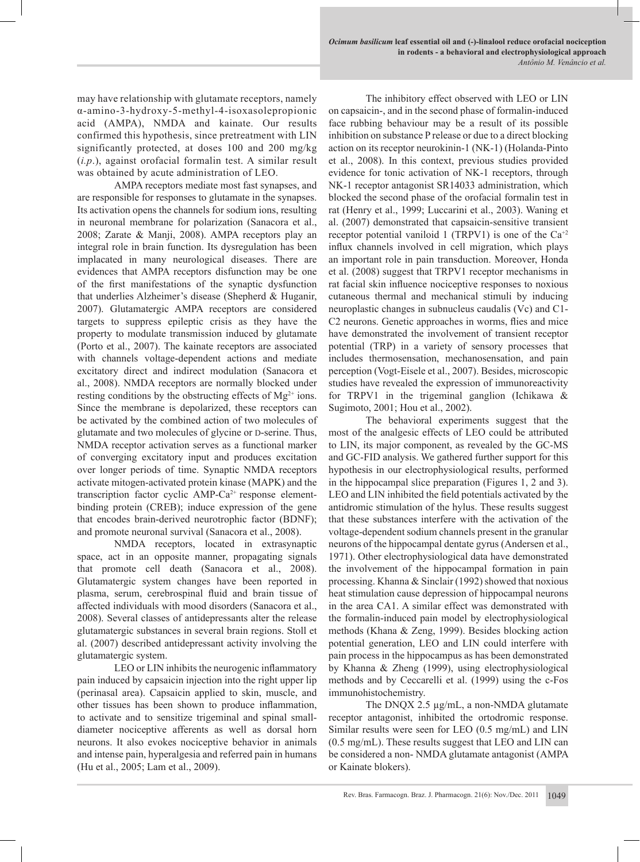may have relationship with glutamate receptors, namely α-amino-3-hydroxy-5-methyl-4-isoxasolepropionic acid (AMPA), NMDA and kainate. Our results confirmed this hypothesis, since pretreatment with LIN significantly protected, at doses 100 and 200 mg/kg (*i.p*.), against orofacial formalin test. A similar result was obtained by acute administration of LEO.

AMPA receptors mediate most fast synapses, and are responsible for responses to glutamate in the synapses. Its activation opens the channels for sodium ions, resulting in neuronal membrane for polarization (Sanacora et al., 2008; Zarate & Manji, 2008). AMPA receptors play an integral role in brain function. Its dysregulation has been implacated in many neurological diseases. There are evidences that AMPA receptors disfunction may be one of the first manifestations of the synaptic dysfunction that underlies Alzheimer's disease (Shepherd & Huganir, 2007). Glutamatergic AMPA receptors are considered targets to suppress epileptic crisis as they have the property to modulate transmission induced by glutamate (Porto et al., 2007). The kainate receptors are associated with channels voltage-dependent actions and mediate excitatory direct and indirect modulation (Sanacora et al., 2008). NMDA receptors are normally blocked under resting conditions by the obstructing effects of  $Mg^{2+}$  ions. Since the membrane is depolarized, these receptors can be activated by the combined action of two molecules of glutamate and two molecules of glycine or D-serine. Thus, NMDA receptor activation serves as a functional marker of converging excitatory input and produces excitation over longer periods of time. Synaptic NMDA receptors activate mitogen-activated protein kinase (MAPK) and the transcription factor cyclic  $AMP-Ca^{2+}$  response elementbinding protein (CREB); induce expression of the gene that encodes brain-derived neurotrophic factor (BDNF); and promote neuronal survival (Sanacora et al., 2008).

NMDA receptors, located in extrasynaptic space, act in an opposite manner, propagating signals that promote cell death (Sanacora et al., 2008). Glutamatergic system changes have been reported in plasma, serum, cerebrospinal fluid and brain tissue of affected individuals with mood disorders (Sanacora et al., 2008). Several classes of antidepressants alter the release glutamatergic substances in several brain regions. Stoll et al. (2007) described antidepressant activity involving the glutamatergic system.

LEO or LIN inhibits the neurogenic inflammatory pain induced by capsaicin injection into the right upper lip (perinasal area). Capsaicin applied to skin, muscle, and other tissues has been shown to produce inflammation, to activate and to sensitize trigeminal and spinal smalldiameter nociceptive afferents as well as dorsal horn neurons. It also evokes nociceptive behavior in animals and intense pain, hyperalgesia and referred pain in humans (Hu et al., 2005; Lam et al., 2009).

The inhibitory effect observed with LEO or LIN on capsaicin-, and in the second phase of formalin-induced face rubbing behaviour may be a result of its possible inhibition on substance P release or due to a direct blocking action on its receptor neurokinin-1 (NK-1) (Holanda-Pinto et al., 2008). In this context, previous studies provided evidence for tonic activation of NK-1 receptors, through NK-1 receptor antagonist SR14033 administration, which blocked the second phase of the orofacial formalin test in rat (Henry et al., 1999; Luccarini et al., 2003). Waning et al. (2007) demonstrated that capsaicin-sensitive transient receptor potential vaniloid 1 (TRPV1) is one of the  $Ca^{+2}$ influx channels involved in cell migration, which plays an important role in pain transduction. Moreover, Honda et al. (2008) suggest that TRPV1 receptor mechanisms in rat facial skin influence nociceptive responses to noxious cutaneous thermal and mechanical stimuli by inducing neuroplastic changes in subnucleus caudalis (Vc) and C1- C2 neurons. Genetic approaches in worms, flies and mice have demonstrated the involvement of transient receptor potential (TRP) in a variety of sensory processes that includes thermosensation, mechanosensation, and pain perception (Vogt-Eisele et al., 2007). Besides, microscopic studies have revealed the expression of immunoreactivity for TRPV1 in the trigeminal ganglion (Ichikawa & Sugimoto, 2001; Hou et al., 2002).

The behavioral experiments suggest that the most of the analgesic effects of LEO could be attributed to LIN, its major component, as revealed by the GC-MS and GC-FID analysis. We gathered further support for this hypothesis in our electrophysiological results, performed in the hippocampal slice preparation (Figures 1, 2 and 3). LEO and LIN inhibited the field potentials activated by the antidromic stimulation of the hylus. These results suggest that these substances interfere with the activation of the voltage-dependent sodium channels present in the granular neurons of the hippocampal dentate gyrus (Andersen et al., 1971). Other electrophysiological data have demonstrated the involvement of the hippocampal formation in pain processing. Khanna & Sinclair (1992) showed that noxious heat stimulation cause depression of hippocampal neurons in the area CA1. A similar effect was demonstrated with the formalin-induced pain model by electrophysiological methods (Khana & Zeng, 1999). Besides blocking action potential generation, LEO and LIN could interfere with pain process in the hippocampus as has been demonstrated by Khanna & Zheng (1999), using electrophysiological methods and by Ceccarelli et al. (1999) using the c-Fos immunohistochemistry.

The DNQX 2.5 µg/mL, a non-NMDA glutamate receptor antagonist, inhibited the ortodromic response. Similar results were seen for LEO (0.5 mg/mL) and LIN (0.5 mg/mL). These results suggest that LEO and LIN can be considered a non- NMDA glutamate antagonist (AMPA or Kainate blokers).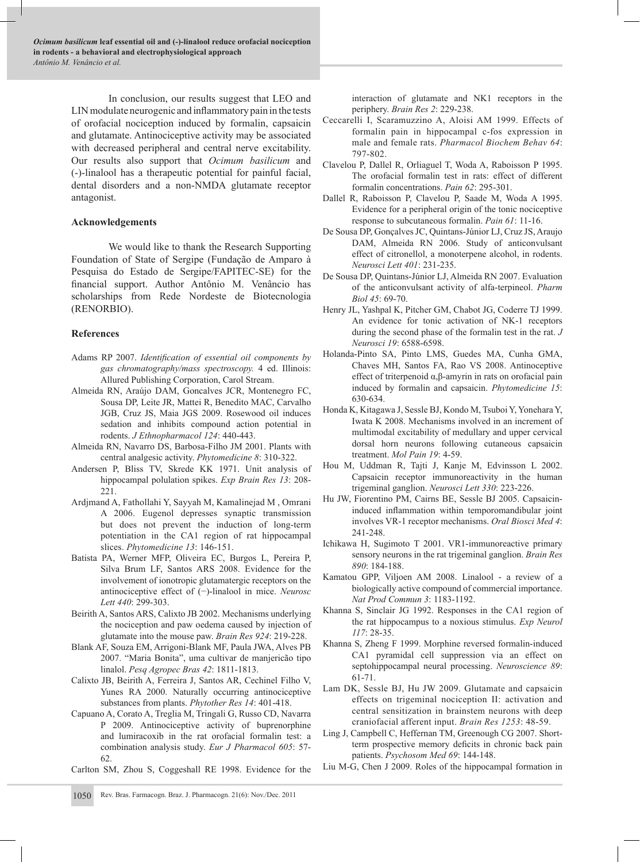*Ocimum basilicum* **leaf essential oil and (-)-linalool reduce orofacial nociception in rodents - a behavioral and electrophysiological approach** *Antônio M. Venâncio et al.*

> In conclusion, our results suggest that LEO and LIN modulate neurogenic and inflammatory pain in the tests of orofacial nociception induced by formalin, capsaicin and glutamate. Antinociceptive activity may be associated with decreased peripheral and central nerve excitability. Our results also support that *Ocimum basilicum* and (-)-linalool has a therapeutic potential for painful facial, dental disorders and a non-NMDA glutamate receptor antagonist.

#### **Acknowledgements**

We would like to thank the Research Supporting Foundation of State of Sergipe (Fundação de Amparo à Pesquisa do Estado de Sergipe/FAPITEC-SE) for the financial support. Author Antônio M. Venâncio has scholarships from Rede Nordeste de Biotecnologia (RENORBIO).

#### **References**

- Adams RP 2007. *Identification of essential oil components by gas chromatography/mass spectroscopy.* 4 ed. Illinois: Allured Publishing Corporation, Carol Stream.
- Almeida RN, Araújo DAM, Goncalves JCR, Montenegro FC, Sousa DP, Leite JR, Mattei R, Benedito MAC, Carvalho JGB, Cruz JS, Maia JGS 2009. Rosewood oil induces sedation and inhibits compound action potential in rodents. *J Ethnopharmacol 124*: 440-443.
- Almeida RN, Navarro DS, Barbosa-Filho JM 2001. Plants with central analgesic activity. *Phytomedicine 8*: 310-322.
- Andersen P, Bliss TV, Skrede KK 1971. Unit analysis of hippocampal polulation spikes. *Exp Brain Res 13*: 208- 221.
- Ardjmand A, Fathollahi Y, Sayyah M, Kamalinejad M , Omrani A 2006. Eugenol depresses synaptic transmission but does not prevent the induction of long-term potentiation in the CA1 region of rat hippocampal slices. *Phytomedicine 13*: 146-151.
- Batista PA, Werner MFP, Oliveira EC, Burgos L, Pereira P, Silva Brum LF, Santos ARS 2008. Evidence for the involvement of ionotropic glutamatergic receptors on the antinociceptive effect of (−)-linalool in mice. *Neurosc Lett 440*: 299-303.
- Beirith A, Santos ARS, Calixto JB 2002. Mechanisms underlying the nociception and paw oedema caused by injection of glutamate into the mouse paw. *Brain Res 924*: 219-228.
- Blank AF, Souza EM, Arrigoni-Blank MF, Paula JWA, Alves PB 2007. "Maria Bonita", uma cultivar de manjericão tipo linalol. *Pesq Agropec Bras 42*: 1811-1813.
- Calixto JB, Beirith A, Ferreira J, Santos AR, Cechinel Filho V, Yunes RA 2000. Naturally occurring antinociceptive substances from plants. *Phytother Res 14*: 401-418.
- Capuano A, Corato A, Treglia M, Tringali G, Russo CD, Navarra P 2009. Antinociceptive activity of buprenorphine and lumiracoxib in the rat orofacial formalin test: a combination analysis study. *Eur J Pharmacol 605*: 57- 62.
- Carlton SM, Zhou S, Coggeshall RE 1998. Evidence for the

interaction of glutamate and NK1 receptors in the periphery. *Brain Res 2*: 229-238.

- Ceccarelli I, Scaramuzzino A, Aloisi AM 1999. Effects of formalin pain in hippocampal c-fos expression in male and female rats. *Pharmacol Biochem Behav 64*: 797-802.
- Clavelou P, Dallel R, Orliaguel T, Woda A, Raboisson P 1995. The orofacial formalin test in rats: effect of different formalin concentrations. *Pain 62*: 295-301.
- Dallel R, Raboisson P, Clavelou P, Saade M, Woda A 1995. Evidence for a peripheral origin of the tonic nociceptive response to subcutaneous formalin. *Pain 61*: 11-16.
- De Sousa DP, Gonçalves JC, Quintans-Júnior LJ, Cruz JS, Araujo DAM, Almeida RN 2006. Study of anticonvulsant effect of citronellol, a monoterpene alcohol, in rodents. *Neurosci Lett 401*: 231-235.
- De Sousa DP, Quintans-Júnior LJ, Almeida RN 2007. Evaluation of the anticonvulsant activity of alfa-terpineol. *Pharm Biol 45*: 69-70.
- Henry JL, Yashpal K, Pitcher GM, Chabot JG, Coderre TJ 1999. An evidence for tonic activation of NK-1 receptors during the second phase of the formalin test in the rat. *J Neurosci 19*: 6588-6598.
- Holanda-Pinto SA, Pinto LMS, Guedes MA, Cunha GMA, Chaves MH, Santos FA, Rao VS 2008. Antinoceptive effect of triterpenoid α,β-amyrin in rats on orofacial pain induced by formalin and capsaicin. *Phytomedicine 15*: 630-634.
- Honda K, Kitagawa J, Sessle BJ, Kondo M, Tsuboi Y, Yonehara Y, Iwata K 2008. Mechanisms involved in an increment of multimodal excitability of medullary and upper cervical dorsal horn neurons following cutaneous capsaicin treatment. *Mol Pain 19*: 4-59.
- Hou M, Uddman R, Tajti J, Kanje M, Edvinsson L 2002. Capsaicin receptor immunoreactivity in the human trigeminal ganglion. *Neurosci Lett 330*: 223-226.
- Hu JW, Fiorentino PM, Cairns BE, Sessle BJ 2005. Capsaicininduced inflammation within temporomandibular joint involves VR-1 receptor mechanisms. *Oral Biosci Med 4*: 241-248.
- Ichikawa H, Sugimoto T 2001. VR1-immunoreactive primary sensory neurons in the rat trigeminal ganglion. *Brain Res 890*: 184-188.
- Kamatou GPP, Viljoen AM 2008. Linalool a review of a biologically active compound of commercial importance. *Nat Prod Commun 3*: 1183-1192.
- Khanna S, Sinclair JG 1992. Responses in the CA1 region of the rat hippocampus to a noxious stimulus. *Exp Neurol 117*: 28-35.
- Khanna S, Zheng F 1999. Morphine reversed formalin-induced CA1 pyramidal cell suppression via an effect on septohippocampal neural processing. *Neuroscience 89*: 61-71.
- Lam DK, Sessle BJ, Hu JW 2009. Glutamate and capsaicin effects on trigeminal nociception II: activation and central sensitization in brainstem neurons with deep craniofacial afferent input. *Brain Res 1253*: 48-59.
- Ling J, Campbell C, Heffernan TM, Greenough CG 2007. Shortterm prospective memory deficits in chronic back pain patients. *Psychosom Med 69*: 144-148.
- Liu M-G, Chen J 2009. Roles of the hippocampal formation in
- 1050 Rev. Bras. Farmacogn. Braz. J. Pharmacogn. 21(6): Nov./Dec. 2011